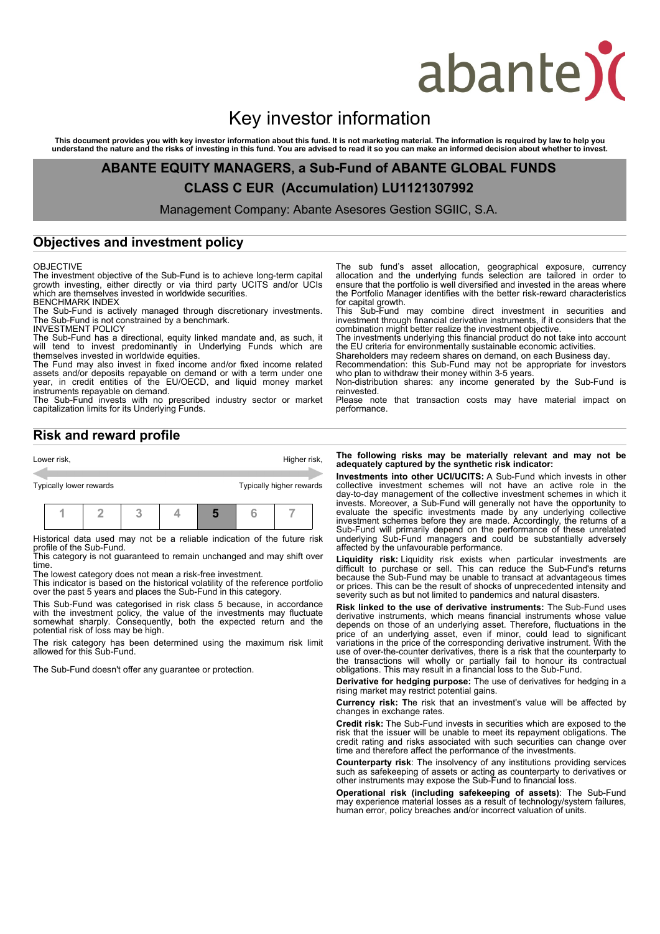# abante)

## Key investor information

This document provides you with key investor information about this fund. It is not marketing material. The information is required by law to help you<br>understand the nature and the risks of investing in this fund. You are

**ABANTE EQUITY MANAGERS, a Sub-Fund of ABANTE GLOBAL FUNDS CLASS C EUR (Accumulation) LU1121307992**

Management Company: Abante Asesores Gestion SGIIC, S.A.

### **Objectives and investment policy**

OBJECTIVE<br>The investment objective of the Sub-Fund is to achieve long-term capital The investment objective of the Sub-Fund is to achieve long-term capital growth investing, either directly or via third party UCITS and/or UCIs which are themselves invested in worldwide securities. BENCHMARK INDEX

The Sub-Fund is actively managed through discretionary investments. The Sub-Fund is not constrained by a benchmark.

INVESTMENT POLICY

The Sub-Fund has a directional, equity linked mandate and, as such, it will tend to invest predominantly in Underlying Funds which are themselves invested in worldwide equities.

The Fund may also invest in fixed income and/or fixed income related assets and/or deposits repayable on demand or with a term under one year, in credit entities of the EU/OECD, and liquid money market instruments repayable on demand.

The Sub-Fund invests with no prescribed industry sector or market capitalization limits for its Underlying Funds.

**Risk and reward profile**

Lower risk, the contract of the contract of the contract of the contract of the contract of the contract of the contract of the contract of the contract of the contract of the contract of the contract of the contract of th Typically lower rewards Typically higher rewards **1 2 3 4 5 6 7**

Historical data used may not be a reliable indication of the future risk profile of the Sub-Fund.

This category is not guaranteed to remain unchanged and may shift over time.

The lowest category does not mean a risk-free investment.

This indicator is based on the historical volatility of the reference portfolio over the past 5 years and places the Sub-Fund in this category.

This Sub-Fund was categorised in risk class 5 because, in accordance with the investment policy, the value of the investments may fluctuate somewhat sharply. Consequently, both the expected return and the potential risk of loss may be high.

The risk category has been determined using the maximum risk limit allowed for this Sub-Fund.

The Sub-Fund doesn't offer any guarantee or protection.

The sub fund's asset allocation, geographical exposure, currency allocation and the underlying funds selection are tailored in order to ensure that the portfolio is well diversified and invested in the areas where the Portfolio Manager identifies with the better risk-reward characteristics for capital growth. This Sub-Fund may combine direct investment in securities and

investment through financial derivative instruments, if it considers that the combination might better realize the investment objective.

The investments underlying this financial product do not take into account the EU criteria for environmentally sustainable economic activities.

Shareholders may redeem shares on demand, on each Business day. Recommendation: this Sub-Fund may not be appropriate for investors

who plan to withdraw their money within 3-5 years. Non-distribution shares: any income generated by the Sub-Fund is reinvested.

Please note that transaction costs may have material impact on performance.

#### **The following risks may be materially relevant and may not be adequately captured by the synthetic risk indicator:**

**Investments into other UCI/UCITS:** A Sub-Fund which invests in other collective investment schemes will not have an active role in the day-to-day management of the collective investment schemes in which it invests. Moreover, a Sub-Fund will generally not have the opportunity to evaluate the specific investments made by any underlying collective investment schemes before they are made. Accordingly, the returns of a Sub-Fund will primarily depend on the performance of these unrelated underlying Sub-Fund managers and could be substantially adversely affected by the unfavourable performance.

**Liquidity risk:** Liquidity risk exists when particular investments are difficult to purchase or sell. This can reduce the Sub-Fund's returns because the Sub-Fund may be unable to transact at advantageous times or prices. This can be the result of shocks of unprecedented intensity and severity such as but not limited to pandemics and natural disasters.

**Risk linked to the use of derivative instruments:** The Sub-Fund uses derivative instruments, which means financial instruments whose value depends on those of an underlying asset. Therefore, fluctuations in the price of an underlying asset, even if minor, could lead to significant variations in the price of the corresponding derivative instrument. With the use of over-the-counter derivatives, there is a risk that the counterparty to the transactions will wholly or partially fail to honour its contractual obligations. This may result in a financial loss to the Sub-Fund.

**Derivative for hedging purpose:** The use of derivatives for hedging in a rising market may restrict potential gains.

**Currency risk: T**he risk that an investment's value will be affected by changes in exchange rates.

**Credit risk:** The Sub-Fund invests in securities which are exposed to the risk that the issuer will be unable to meet its repayment obligations. The credit rating and risks associated with such securities can change over time and therefore affect the performance of the investments.

**Counterparty risk**: The insolvency of any institutions providing services such as safekeeping of assets or acting as counterparty to derivatives or other instruments may expose the Sub-Fund to financial loss.

**Operational risk (including safekeeping of assets)**: The Sub-Fund may experience material losses as a result of technology/system failures, human error, policy breaches and/or incorrect valuation of units.